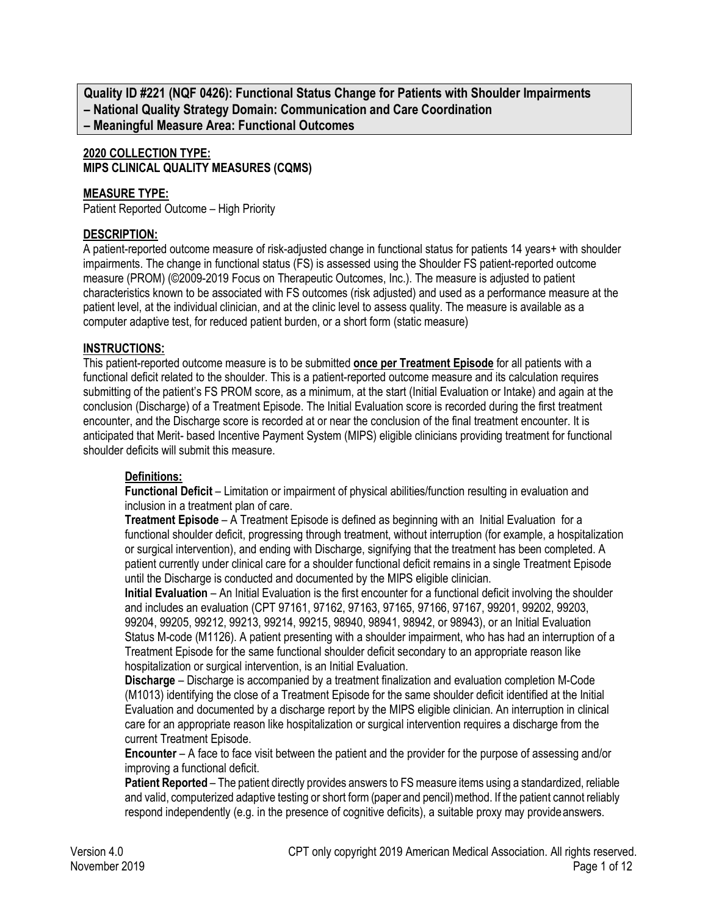**Quality ID #221 (NQF 0426): Functional Status Change for Patients with Shoulder Impairments – National Quality Strategy Domain: Communication and Care Coordination – Meaningful Measure Area: Functional Outcomes**

## **2020 COLLECTION TYPE: MIPS CLINICAL QUALITY MEASURES (CQMS)**

#### **MEASURE TYPE:**

Patient Reported Outcome – High Priority

### **DESCRIPTION:**

A patient-reported outcome measure of risk-adjusted change in functional status for patients 14 years+ with shoulder impairments. The change in functional status (FS) is assessed using the Shoulder FS patient-reported outcome measure (PROM) (©2009-2019 Focus on Therapeutic Outcomes, Inc.). The measure is adjusted to patient characteristics known to be associated with FS outcomes (risk adjusted) and used as a performance measure at the patient level, at the individual clinician, and at the clinic level to assess quality. The measure is available as a computer adaptive test, for reduced patient burden, or a short form (static measure)

#### **INSTRUCTIONS:**

This patient-reported outcome measure is to be submitted **once per Treatment Episode** for all patients with a functional deficit related to the shoulder. This is a patient-reported outcome measure and its calculation requires submitting of the patient's FS PROM score, as a minimum, at the start (Initial Evaluation or Intake) and again at the conclusion (Discharge) of a Treatment Episode. The Initial Evaluation score is recorded during the first treatment encounter, and the Discharge score is recorded at or near the conclusion of the final treatment encounter. It is anticipated that Merit- based Incentive Payment System (MIPS) eligible clinicians providing treatment for functional shoulder deficits will submit this measure.

## **Definitions:**

**Functional Deficit** – Limitation or impairment of physical abilities/function resulting in evaluation and inclusion in a treatment plan of care.

**Treatment Episode** – A Treatment Episode is defined as beginning with an Initial Evaluation for a functional shoulder deficit, progressing through treatment, without interruption (for example, a hospitalization or surgical intervention), and ending with Discharge, signifying that the treatment has been completed. A patient currently under clinical care for a shoulder functional deficit remains in a single Treatment Episode until the Discharge is conducted and documented by the MIPS eligible clinician.

**Initial Evaluation** – An Initial Evaluation is the first encounter for a functional deficit involving the shoulder and includes an evaluation (CPT 97161, 97162, 97163, 97165, 97166, 97167, 99201, 99202, 99203, 99204, 99205, 99212, 99213, 99214, 99215, 98940, 98941, 98942, or 98943), or an Initial Evaluation Status M-code (M1126). A patient presenting with a shoulder impairment, who has had an interruption of a Treatment Episode for the same functional shoulder deficit secondary to an appropriate reason like hospitalization or surgical intervention, is an Initial Evaluation.

**Discharge** – Discharge is accompanied by a treatment finalization and evaluation completion M-Code (M1013) identifying the close of a Treatment Episode for the same shoulder deficit identified at the Initial Evaluation and documented by a discharge report by the MIPS eligible clinician. An interruption in clinical care for an appropriate reason like hospitalization or surgical intervention requires a discharge from the current Treatment Episode.

**Encounter** – A face to face visit between the patient and the provider for the purpose of assessing and/or improving a functional deficit.

**Patient Reported** – The patient directly provides answers to FS measure items using a standardized, reliable and valid, computerized adaptive testing or short form (paper and pencil) method. If the patient cannot reliably respond independently (e.g. in the presence of cognitive deficits), a suitable proxy may provideanswers.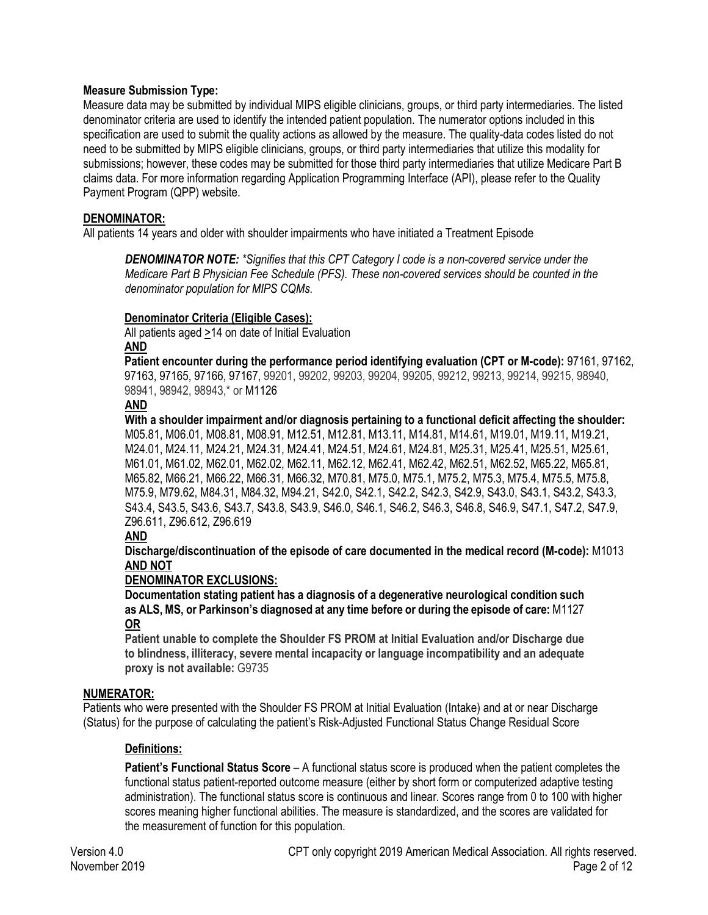#### **Measure Submission Type:**

Measure data may be submitted by individual MIPS eligible clinicians, groups, or third party intermediaries. The listed denominator criteria are used to identify the intended patient population. The numerator options included in this specification are used to submit the quality actions as allowed by the measure. The quality-data codes listed do not need to be submitted by MIPS eligible clinicians, groups, or third party intermediaries that utilize this modality for submissions; however, these codes may be submitted for those third party intermediaries that utilize Medicare Part B claims data. For more information regarding Application Programming Interface (API), please refer to the Quality Payment Program (QPP) website.

#### **DENOMINATOR:**

All patients 14 years and older with shoulder impairments who have initiated a Treatment Episode

*DENOMINATOR NOTE: \*Signifies that this CPT Category I code is a non-covered service under the Medicare Part B Physician Fee Schedule (PFS). These non-covered services should be counted in the denominator population for MIPS CQMs.*

#### **Denominator Criteria (Eligible Cases):**

All patients aged >14 on date of Initial Evaluation **AND**

**Patient encounter during the performance period identifying evaluation (CPT or M-code):** 97161, 97162, 97163, 97165, 97166, 97167, 99201, 99202, 99203, 99204, 99205, 99212, 99213, 99214, 99215, 98940, 98941, 98942, 98943,\* or M1126

#### **AND**

**With a shoulder impairment and/or diagnosis pertaining to a functional deficit affecting the shoulder:**  M05.81, M06.01, M08.81, M08.91, M12.51, M12.81, M13.11, M14.81, M14.61, M19.01, M19.11, M19.21, M24.01, M24.11, M24.21, M24.31, M24.41, M24.51, M24.61, M24.81, M25.31, M25.41, M25.51, M25.61, M61.01, M61.02, M62.01, M62.02, M62.11, M62.12, M62.41, M62.42, M62.51, M62.52, M65.22, M65.81, M65.82, M66.21, M66.22, M66.31, M66.32, M70.81, M75.0, M75.1, M75.2, M75.3, M75.4, M75.5, M75.8, M75.9, M79.62, M84.31, M84.32, M94.21, S42.0, S42.1, S42.2, S42.3, S42.9, S43.0, S43.1, S43.2, S43.3, S43.4, S43.5, S43.6, S43.7, S43.8, S43.9, S46.0, S46.1, S46.2, S46.3, S46.8, S46.9, S47.1, S47.2, S47.9, Z96.611, Z96.612, Z96.619

## **AND**

**Discharge/discontinuation of the episode of care documented in the medical record (M-code):** M1013 **AND NOT**

#### **DENOMINATOR EXCLUSIONS:**

**Documentation stating patient has a diagnosis of a degenerative neurological condition such as ALS, MS, or Parkinson's diagnosed at any time before or during the episode of care:** M1127 **OR**

**Patient unable to complete the Shoulder FS PROM at Initial Evaluation and/or Discharge due to blindness, illiteracy, severe mental incapacity or language incompatibility and an adequate proxy is not available:** G9735

#### **NUMERATOR:**

Patients who were presented with the Shoulder FS PROM at Initial Evaluation (Intake) and at or near Discharge (Status) for the purpose of calculating the patient's Risk-Adjusted Functional Status Change Residual Score

#### **Definitions:**

**Patient's Functional Status Score** – A functional status score is produced when the patient completes the functional status patient-reported outcome measure (either by short form or computerized adaptive testing administration). The functional status score is continuous and linear. Scores range from 0 to 100 with higher scores meaning higher functional abilities. The measure is standardized, and the scores are validated for the measurement of function for this population.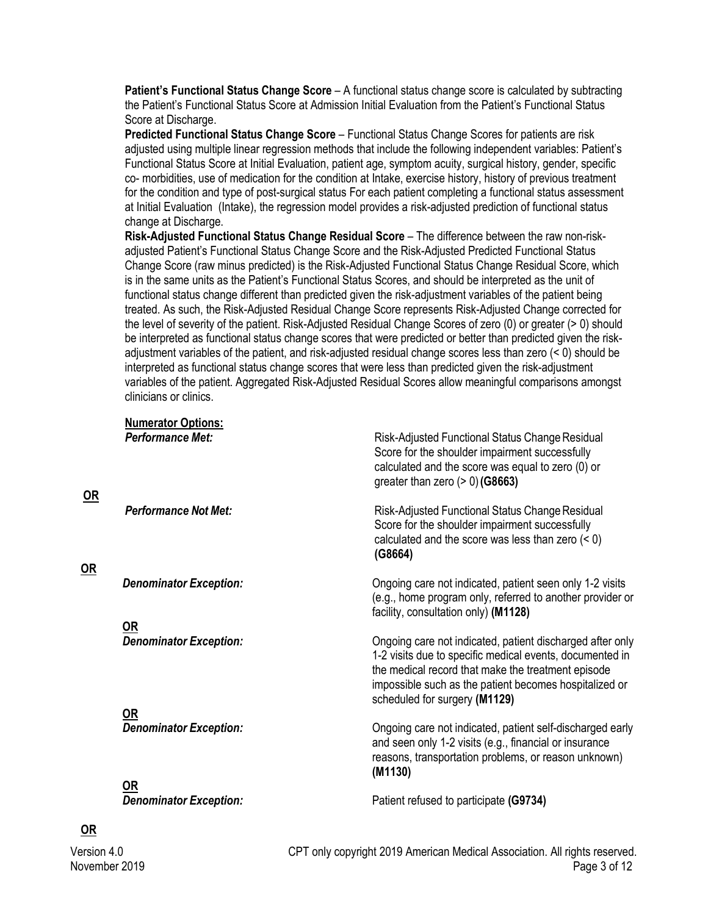**Patient's Functional Status Change Score** – A functional status change score is calculated by subtracting the Patient's Functional Status Score at Admission Initial Evaluation from the Patient's Functional Status Score at Discharge.

**Predicted Functional Status Change Score** – Functional Status Change Scores for patients are risk adjusted using multiple linear regression methods that include the following independent variables: Patient's Functional Status Score at Initial Evaluation, patient age, symptom acuity, surgical history, gender, specific co- morbidities, use of medication for the condition at Intake, exercise history, history of previous treatment for the condition and type of post-surgical status For each patient completing a functional status assessment at Initial Evaluation (Intake), the regression model provides a risk-adjusted prediction of functional status change at Discharge.

**Risk-Adjusted Functional Status Change Residual Score** – The difference between the raw non-riskadjusted Patient's Functional Status Change Score and the Risk-Adjusted Predicted Functional Status Change Score (raw minus predicted) is the Risk-Adjusted Functional Status Change Residual Score, which is in the same units as the Patient's Functional Status Scores, and should be interpreted as the unit of functional status change different than predicted given the risk-adjustment variables of the patient being treated. As such, the Risk-Adjusted Residual Change Score represents Risk-Adjusted Change corrected for the level of severity of the patient. Risk-Adjusted Residual Change Scores of zero (0) or greater (> 0) should be interpreted as functional status change scores that were predicted or better than predicted given the riskadjustment variables of the patient, and risk-adjusted residual change scores less than zero (< 0) should be interpreted as functional status change scores that were less than predicted given the risk-adjustment variables of the patient. Aggregated Risk-Adjusted Residual Scores allow meaningful comparisons amongst clinicians or clinics.

**Numerator Options: Performance Met:** Network *Risk-Adjusted Functional Status Change Residual* 

| $OR$ |                                            | Score for the shoulder impairment successfully<br>calculated and the score was equal to zero (0) or<br>greater than zero $(> 0)$ (G8663)                                                                                                                               |  |  |  |  |
|------|--------------------------------------------|------------------------------------------------------------------------------------------------------------------------------------------------------------------------------------------------------------------------------------------------------------------------|--|--|--|--|
| OR   | <b>Performance Not Met:</b>                | Risk-Adjusted Functional Status Change Residual<br>Score for the shoulder impairment successfully<br>calculated and the score was less than zero $(< 0)$<br>(G8664)                                                                                                    |  |  |  |  |
|      | <b>Denominator Exception:</b><br><u>OR</u> | Ongoing care not indicated, patient seen only 1-2 visits<br>(e.g., home program only, referred to another provider or<br>facility, consultation only) (M1128)                                                                                                          |  |  |  |  |
|      | <b>Denominator Exception:</b>              | Ongoing care not indicated, patient discharged after only<br>1-2 visits due to specific medical events, documented in<br>the medical record that make the treatment episode<br>impossible such as the patient becomes hospitalized or<br>scheduled for surgery (M1129) |  |  |  |  |
|      | <u>OR</u>                                  |                                                                                                                                                                                                                                                                        |  |  |  |  |
|      | <b>Denominator Exception:</b>              | Ongoing care not indicated, patient self-discharged early<br>and seen only 1-2 visits (e.g., financial or insurance<br>reasons, transportation problems, or reason unknown)<br>(M1130)                                                                                 |  |  |  |  |
|      | $OR$                                       |                                                                                                                                                                                                                                                                        |  |  |  |  |
|      | <b>Denominator Exception:</b>              | Patient refused to participate (G9734)                                                                                                                                                                                                                                 |  |  |  |  |

**OR**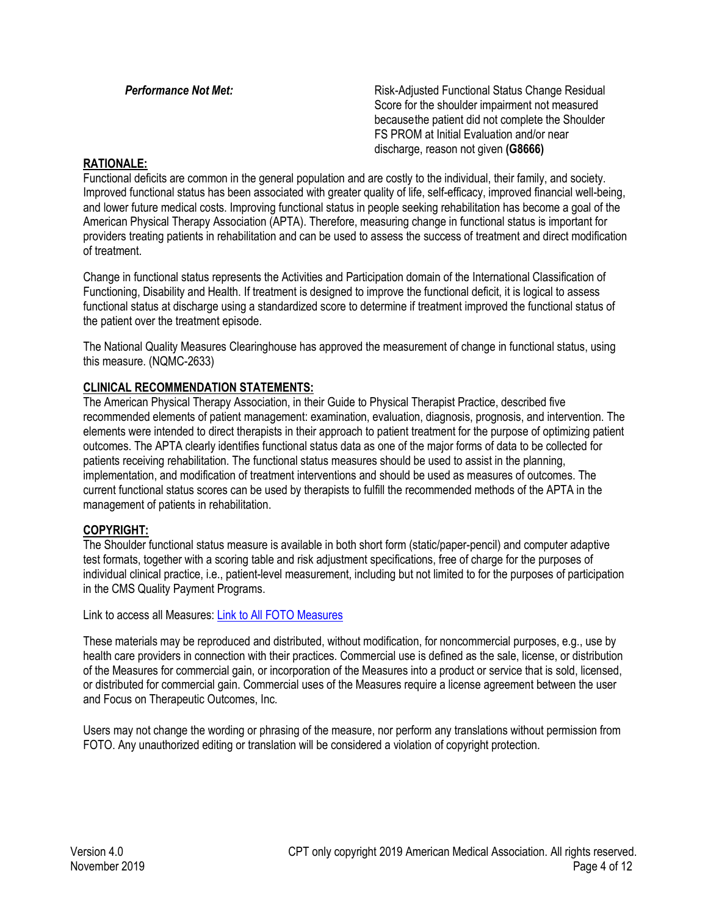**Performance Not Met:** Notice Reserve *Risk-Adjusted Functional Status Change Residual* Score for the shoulder impairment not measured becausethe patient did not complete the Shoulder FS PROM at Initial Evaluation and/or near discharge, reason not given **(G8666)**

#### **RATIONALE:**

Functional deficits are common in the general population and are costly to the individual, their family, and society. Improved functional status has been associated with greater quality of life, self-efficacy, improved financial well-being, and lower future medical costs. Improving functional status in people seeking rehabilitation has become a goal of the American Physical Therapy Association (APTA). Therefore, measuring change in functional status is important for providers treating patients in rehabilitation and can be used to assess the success of treatment and direct modification of treatment.

Change in functional status represents the Activities and Participation domain of the International Classification of Functioning, Disability and Health. If treatment is designed to improve the functional deficit, it is logical to assess functional status at discharge using a standardized score to determine if treatment improved the functional status of the patient over the treatment episode.

The National Quality Measures Clearinghouse has approved the measurement of change in functional status, using this measure. (NQMC-2633)

### **CLINICAL RECOMMENDATION STATEMENTS:**

The American Physical Therapy Association, in their Guide to Physical Therapist Practice, described five recommended elements of patient management: examination, evaluation, diagnosis, prognosis, and intervention. The elements were intended to direct therapists in their approach to patient treatment for the purpose of optimizing patient outcomes. The APTA clearly identifies functional status data as one of the major forms of data to be collected for patients receiving rehabilitation. The functional status measures should be used to assist in the planning, implementation, and modification of treatment interventions and should be used as measures of outcomes. The current functional status scores can be used by therapists to fulfill the recommended methods of the APTA in the management of patients in rehabilitation.

#### **COPYRIGHT:**

The Shoulder functional status measure is available in both short form (static/paper-pencil) and computer adaptive test formats, together with a scoring table and risk adjustment specifications, free of charge for the purposes of individual clinical practice, i.e., patient-level measurement, including but not limited to for the purposes of participation in the CMS Quality Payment Programs.

Link to access all Measures: [Link to All FOTO Measures](http://www.fotoinc.com/science-of-foto/nqf-measure-specifications)

These materials may be reproduced and distributed, without modification, for noncommercial purposes, e.g., use by health care providers in connection with their practices. Commercial use is defined as the sale, license, or distribution of the Measures for commercial gain, or incorporation of the Measures into a product or service that is sold, licensed, or distributed for commercial gain. Commercial uses of the Measures require a license agreement between the user and Focus on Therapeutic Outcomes, Inc.

Users may not change the wording or phrasing of the measure, nor perform any translations without permission from FOTO. Any unauthorized editing or translation will be considered a violation of copyright protection.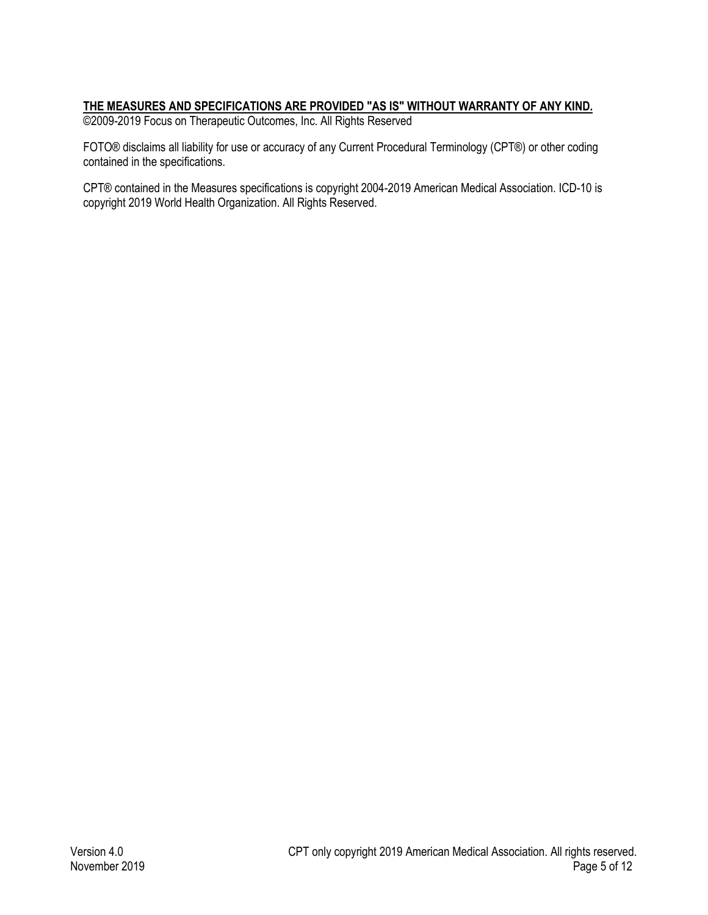## **THE MEASURES AND SPECIFICATIONS ARE PROVIDED "AS IS" WITHOUT WARRANTY OF ANY KIND.**

©2009-2019 Focus on Therapeutic Outcomes, Inc. All Rights Reserved

FOTO® disclaims all liability for use or accuracy of any Current Procedural Terminology (CPT®) or other coding contained in the specifications.

CPT® contained in the Measures specifications is copyright 2004-2019 American Medical Association. ICD-10 is copyright 2019 World Health Organization. All Rights Reserved.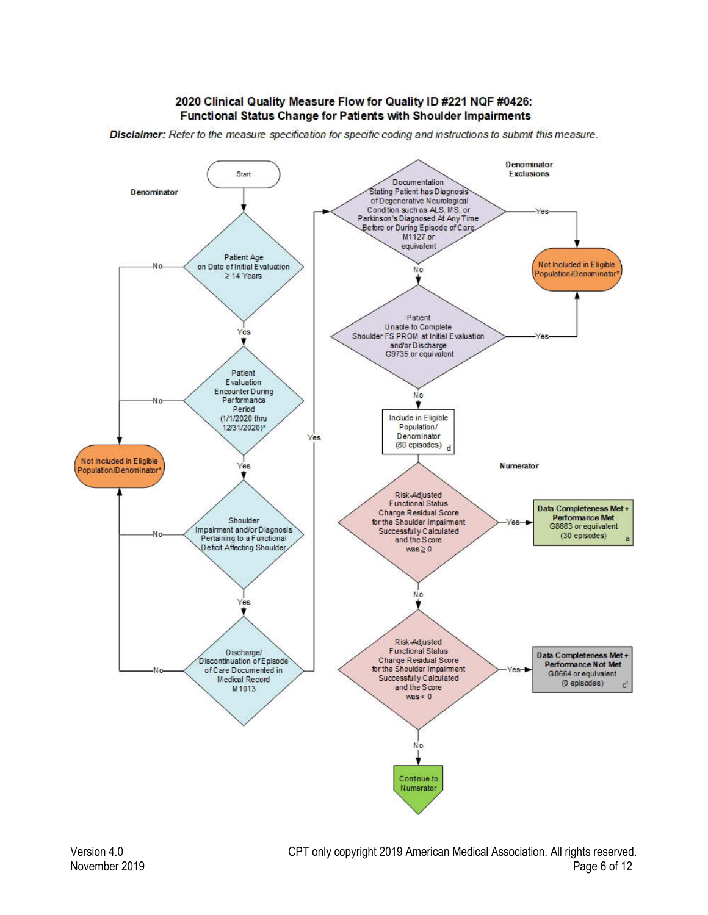#### 2020 Clinical Quality Measure Flow for Quality ID #221 NQF #0426: Functional Status Change for Patients with Shoulder Impairments

Disclaimer: Refer to the measure specification for specific coding and instructions to submit this measure.

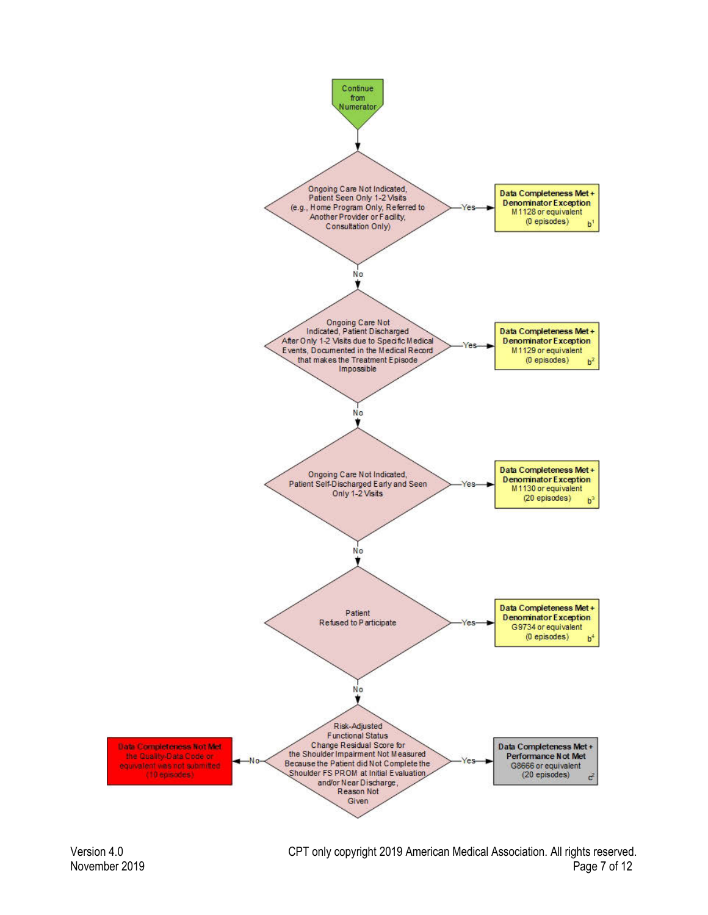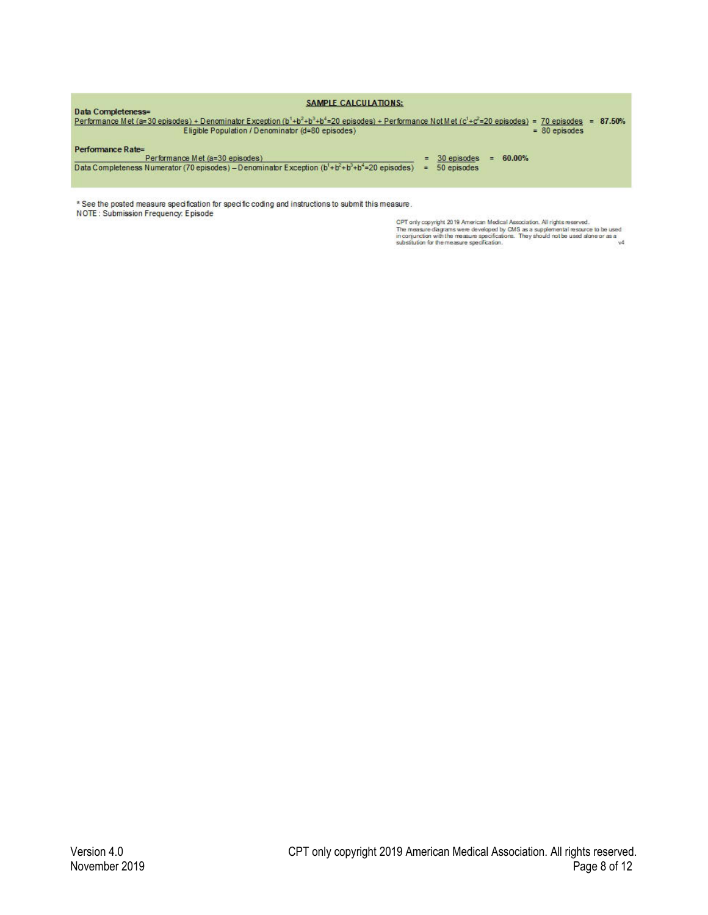| <b>SAMPLE CALCULATIONS:</b>                                                                                                                                                                                               |     |             |    |        |                 |        |
|---------------------------------------------------------------------------------------------------------------------------------------------------------------------------------------------------------------------------|-----|-------------|----|--------|-----------------|--------|
| Data Completeness=                                                                                                                                                                                                        |     |             |    |        |                 |        |
| Performance Met (a=30 episodes) + Denominator Exception (b <sup>1</sup> +b <sup>2</sup> +b <sup>3</sup> +b <sup>4</sup> =20 episodes) + Performance Not Met (c <sup>1</sup> +c <sup>2</sup> =20 episodes) = 70 episodes = |     |             |    |        |                 | 87.50% |
| Eligible Population / Denominator (d=80 episodes)                                                                                                                                                                         |     |             |    |        | $= 80$ episodes |        |
| Performance Rate=                                                                                                                                                                                                         |     |             |    |        |                 |        |
| Performance Met (a=30 episodes)                                                                                                                                                                                           |     | 30 episodes | Ξ. | 60.00% |                 |        |
| Data Completeness Numerator (70 episodes) - Denominator Exception (b <sup>1</sup> +b <sup>2</sup> +b <sup>2</sup> +b <sup>2</sup> =20 episodes)                                                                           | $=$ | 50 episodes |    |        |                 |        |
|                                                                                                                                                                                                                           |     |             |    |        |                 |        |
|                                                                                                                                                                                                                           |     |             |    |        |                 |        |

\* See the posted measure specification for specific coding and instructions to submit this measure. NOTE: Submission Frequency: Episode

CPT only copyright 2019 American Medical Association. All rights reserved.<br>The measure diagrams were developed by CMS as a supplemental resource to be used<br>in conjunction with the measure specification.<br>substitution for th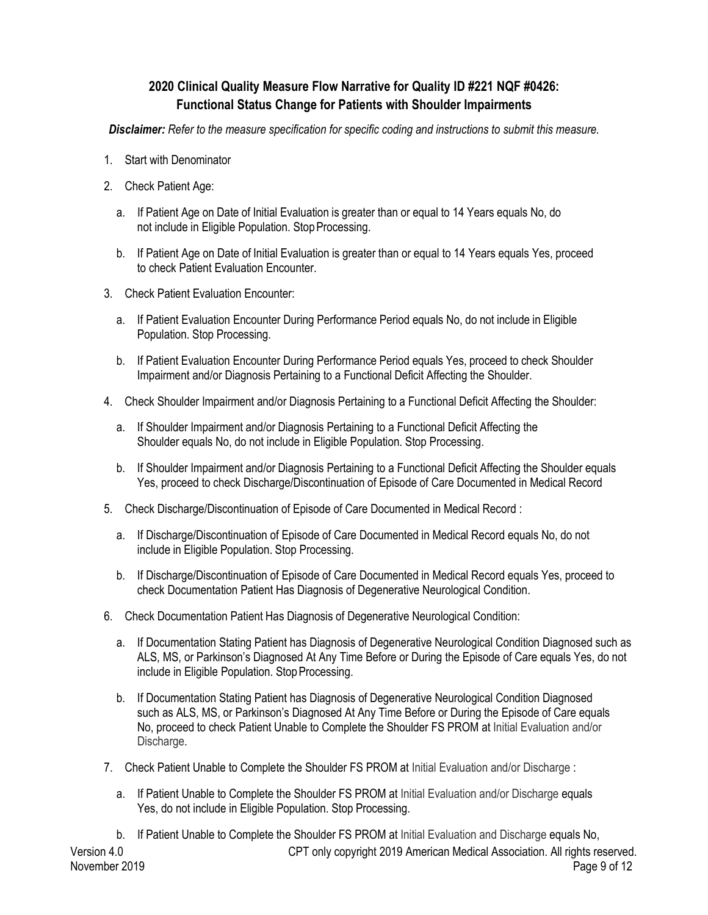# **2020 Clinical Quality Measure Flow Narrative for Quality ID #221 NQF #0426: Functional Status Change for Patients with Shoulder Impairments**

*Disclaimer: Refer to the measure specification for specific coding and instructions to submit this measure.*

- 1. Start with Denominator
- 2. Check Patient Age:
	- a. If Patient Age on Date of Initial Evaluation is greater than or equal to 14 Years equals No, do not include in Eligible Population. Stop Processing.
	- b. If Patient Age on Date of Initial Evaluation is greater than or equal to 14 Years equals Yes, proceed to check Patient Evaluation Encounter.
- 3. Check Patient Evaluation Encounter:
	- a. If Patient Evaluation Encounter During Performance Period equals No, do not include in Eligible Population. Stop Processing.
	- b. If Patient Evaluation Encounter During Performance Period equals Yes, proceed to check Shoulder Impairment and/or Diagnosis Pertaining to a Functional Deficit Affecting the Shoulder.
- 4. Check Shoulder Impairment and/or Diagnosis Pertaining to a Functional Deficit Affecting the Shoulder:
	- a. If Shoulder Impairment and/or Diagnosis Pertaining to a Functional Deficit Affecting the Shoulder equals No, do not include in Eligible Population. Stop Processing.
	- b. If Shoulder Impairment and/or Diagnosis Pertaining to a Functional Deficit Affecting the Shoulder equals Yes, proceed to check Discharge/Discontinuation of Episode of Care Documented in Medical Record
- 5. Check Discharge/Discontinuation of Episode of Care Documented in Medical Record :
	- a. If Discharge/Discontinuation of Episode of Care Documented in Medical Record equals No, do not include in Eligible Population. Stop Processing.
	- b. If Discharge/Discontinuation of Episode of Care Documented in Medical Record equals Yes, proceed to check Documentation Patient Has Diagnosis of Degenerative Neurological Condition.
- 6. Check Documentation Patient Has Diagnosis of Degenerative Neurological Condition:
	- a. If Documentation Stating Patient has Diagnosis of Degenerative Neurological Condition Diagnosed such as ALS, MS, or Parkinson's Diagnosed At Any Time Before or During the Episode of Care equals Yes, do not include in Eligible Population. Stop Processing.
	- b. If Documentation Stating Patient has Diagnosis of Degenerative Neurological Condition Diagnosed such as ALS, MS, or Parkinson's Diagnosed At Any Time Before or During the Episode of Care equals No, proceed to check Patient Unable to Complete the Shoulder FS PROM at Initial Evaluation and/or Discharge.
- 7. Check Patient Unable to Complete the Shoulder FS PROM at Initial Evaluation and/or Discharge :
	- a. If Patient Unable to Complete the Shoulder FS PROM at Initial Evaluation and/or Discharge equals Yes, do not include in Eligible Population. Stop Processing.
	- b. If Patient Unable to Complete the Shoulder FS PROM at Initial Evaluation and Discharge equals No,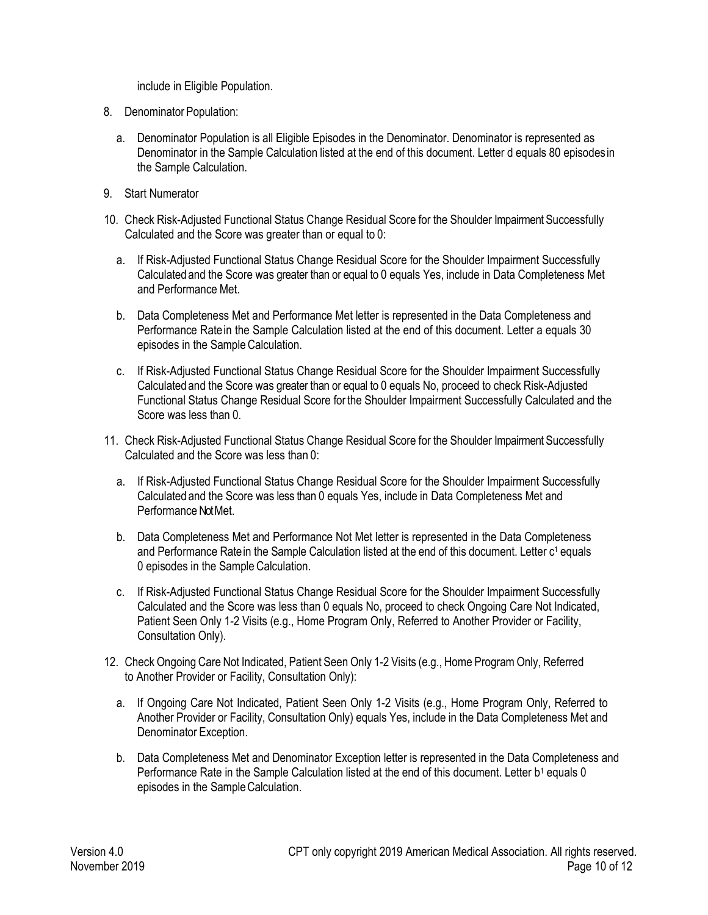include in Eligible Population.

- 8. Denominator Population:
	- a. Denominator Population is all Eligible Episodes in the Denominator. Denominator is represented as Denominator in the Sample Calculation listed at the end of this document. Letter d equals 80 episodes in the Sample Calculation.
- 9. Start Numerator
- 10. Check Risk-Adjusted Functional Status Change Residual Score for the Shoulder Impairment Successfully Calculated and the Score was greater than or equal to 0:
	- a. If Risk-Adjusted Functional Status Change Residual Score for the Shoulder Impairment Successfully Calculatedand the Score was greater than or equal to 0 equals Yes, include in Data Completeness Met and Performance Met.
	- b. Data Completeness Met and Performance Met letter is represented in the Data Completeness and Performance Ratein the Sample Calculation listed at the end of this document. Letter a equals 30 episodes in the Sample Calculation.
	- c. If Risk-Adjusted Functional Status Change Residual Score for the Shoulder Impairment Successfully Calculated and the Score was greater than or equal to 0 equals No, proceed to check Risk-Adjusted Functional Status Change Residual Score for the Shoulder Impairment Successfully Calculated and the Score was less than 0.
- 11. Check Risk-Adjusted Functional Status Change Residual Score for the Shoulder Impairment Successfully Calculated and the Score was less than 0:
	- a. If Risk-Adjusted Functional Status Change Residual Score for the Shoulder Impairment Successfully Calculated and the Score was less than 0 equals Yes, include in Data Completeness Met and Performance Not Met.
	- b. Data Completeness Met and Performance Not Met letter is represented in the Data Completeness and Performance Ratein the Sample Calculation listed at the end of this document. Letter c<sup>1</sup> equals 0 episodes in the Sample Calculation.
	- c. If Risk-Adjusted Functional Status Change Residual Score for the Shoulder Impairment Successfully Calculated and the Score was less than 0 equals No, proceed to check Ongoing Care Not Indicated, Patient Seen Only 1-2 Visits (e.g., Home Program Only, Referred to Another Provider or Facility, Consultation Only).
- 12. Check Ongoing Care Not Indicated, Patient Seen Only 1-2 Visits (e.g., Home Program Only, Referred to Another Provider or Facility, Consultation Only):
	- a. If Ongoing Care Not Indicated, Patient Seen Only 1-2 Visits (e.g., Home Program Only, Referred to Another Provider or Facility, Consultation Only) equals Yes, include in the Data Completeness Met and Denominator Exception.
	- b. Data Completeness Met and Denominator Exception letter is represented in the Data Completeness and Performance Rate in the Sample Calculation listed at the end of this document. Letter b<sup>1</sup> equals 0 episodes in the SampleCalculation.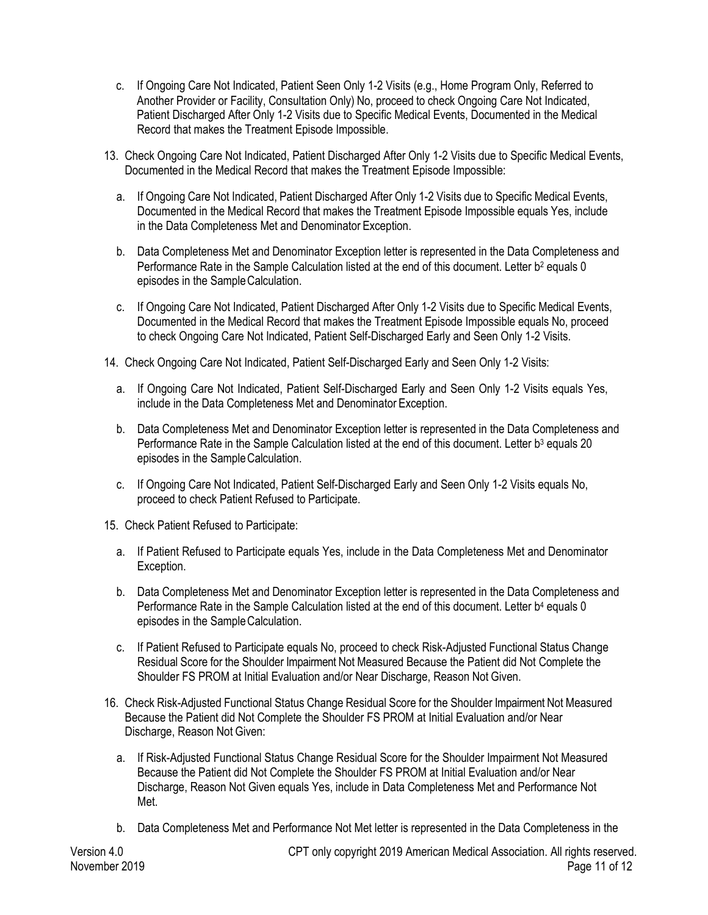- c. If Ongoing Care Not Indicated, Patient Seen Only 1-2 Visits (e.g., Home Program Only, Referred to Another Provider or Facility, Consultation Only) No, proceed to check Ongoing Care Not Indicated, Patient Discharged After Only 1-2 Visits due to Specific Medical Events, Documented in the Medical Record that makes the Treatment Episode Impossible.
- 13. Check Ongoing Care Not Indicated, Patient Discharged After Only 1-2 Visits due to Specific Medical Events, Documented in the Medical Record that makes the Treatment Episode Impossible:
	- a. If Ongoing Care Not Indicated, Patient Discharged After Only 1-2 Visits due to Specific Medical Events, Documented in the Medical Record that makes the Treatment Episode Impossible equals Yes, include in the Data Completeness Met and Denominator Exception.
	- b. Data Completeness Met and Denominator Exception letter is represented in the Data Completeness and Performance Rate in the Sample Calculation listed at the end of this document. Letter b<sup>2</sup> equals 0 episodes in the SampleCalculation.
	- c. If Ongoing Care Not Indicated, Patient Discharged After Only 1-2 Visits due to Specific Medical Events, Documented in the Medical Record that makes the Treatment Episode Impossible equals No, proceed to check Ongoing Care Not Indicated, Patient Self-Discharged Early and Seen Only 1-2 Visits.
- 14. Check Ongoing Care Not Indicated, Patient Self-Discharged Early and Seen Only 1-2 Visits:
	- a. If Ongoing Care Not Indicated, Patient Self-Discharged Early and Seen Only 1-2 Visits equals Yes, include in the Data Completeness Met and Denominator Exception.
	- b. Data Completeness Met and Denominator Exception letter is represented in the Data Completeness and Performance Rate in the Sample Calculation listed at the end of this document. Letter b<sup>3</sup> equals 20 episodes in the SampleCalculation.
	- c. If Ongoing Care Not Indicated, Patient Self-Discharged Early and Seen Only 1-2 Visits equals No, proceed to check Patient Refused to Participate.
- 15. Check Patient Refused to Participate:
	- a. If Patient Refused to Participate equals Yes, include in the Data Completeness Met and Denominator Exception.
	- b. Data Completeness Met and Denominator Exception letter is represented in the Data Completeness and Performance Rate in the Sample Calculation listed at the end of this document. Letter b<sup>4</sup> equals 0 episodes in the SampleCalculation.
	- c. If Patient Refused to Participate equals No, proceed to check Risk-Adjusted Functional Status Change Residual Score for the Shoulder Impairment Not Measured Because the Patient did Not Complete the Shoulder FS PROM at Initial Evaluation and/or Near Discharge, Reason Not Given.
- 16. Check Risk-Adjusted Functional Status Change Residual Score for the Shoulder Impairment Not Measured Because the Patient did Not Complete the Shoulder FS PROM at Initial Evaluation and/or Near Discharge, Reason Not Given:
	- a. If Risk-Adjusted Functional Status Change Residual Score for the Shoulder Impairment Not Measured Because the Patient did Not Complete the Shoulder FS PROM at Initial Evaluation and/or Near Discharge, Reason Not Given equals Yes, include in Data Completeness Met and Performance Not Met.
	- b. Data Completeness Met and Performance Not Met letter is represented in the Data Completeness in the